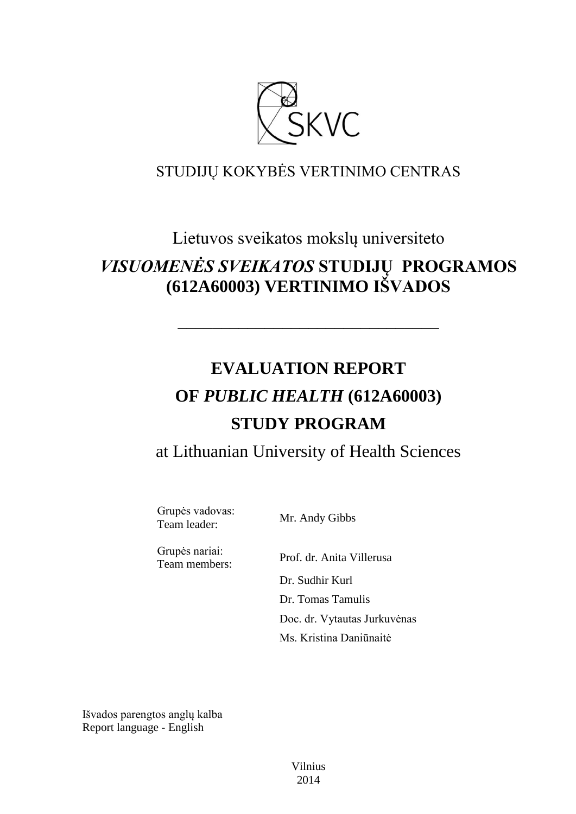

# STUDIJŲ KOKYBĖS VERTINIMO CENTRAS

# Lietuvos sveikatos mokslų universiteto

# *VISUOMENĖS SVEIKATOS* **STUDIJŲ PROGRAMOS (612A60003) VERTINIMO IŠVADOS**

––––––––––––––––––––––––––––––

# **EVALUATION REPORT OF** *PUBLIC HEALTH* **(612A60003) STUDY PROGRAM**

at Lithuanian University of Health Sciences

Grupės vadovas:<br>Team leader:

Mr. Andy Gibbs

Grupės nariai:

Team members: Prof. dr. Anita Villerusa Dr. Sudhir Kurl Dr. Tomas Tamulis Doc. dr. Vytautas Jurkuvėnas Ms. Kristina Daniūnaitė

Išvados parengtos anglų kalba Report language - English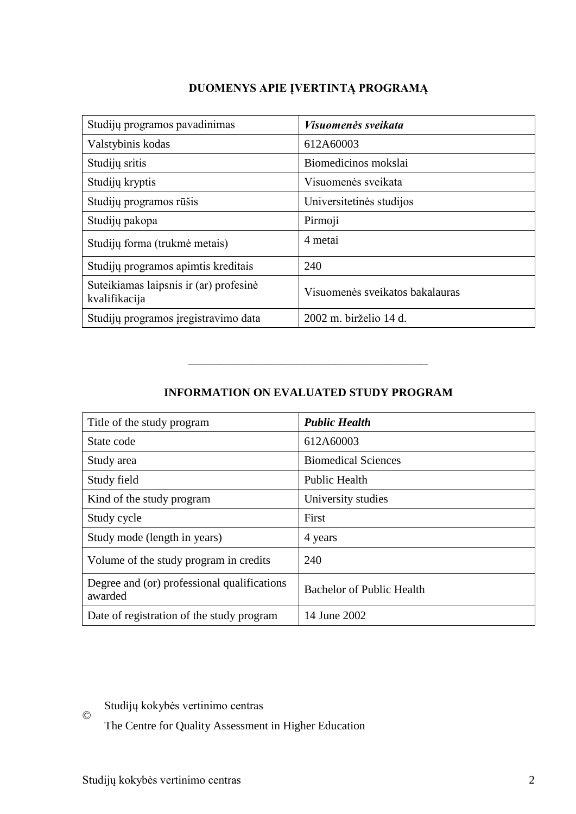# **DUOMENYS APIE ĮVERTINTĄ PROGRAMĄ**

| Studijų programos pavadinimas                           | <i>Visuomenės sveikata</i>      |
|---------------------------------------------------------|---------------------------------|
| Valstybinis kodas                                       | 612A60003                       |
| Studijų sritis                                          | Biomedicinos mokslai            |
| Studijų kryptis                                         | Visuomenės sveikata             |
| Studijų programos rūšis                                 | Universitetinės studijos        |
| Studijų pakopa                                          | Pirmoji                         |
| Studijų forma (trukmė metais)                           | 4 metai                         |
| Studijų programos apimtis kreditais                     | 240                             |
| Suteikiamas laipsnis ir (ar) profesinė<br>kvalifikacija | Visuomenės sveikatos bakalauras |
| Studijų programos įregistravimo data                    | 2002 m. birželio 14 d.          |

# **INFORMATION ON EVALUATED STUDY PROGRAM**

–––––––––––––––––––––––––––––––

| Title of the study program                             | <b>Public Health</b>             |
|--------------------------------------------------------|----------------------------------|
| State code                                             | 612A60003                        |
| Study area                                             | <b>Biomedical Sciences</b>       |
| Study field                                            | <b>Public Health</b>             |
| Kind of the study program                              | University studies               |
| Study cycle                                            | First                            |
| Study mode (length in years)                           | 4 years                          |
| Volume of the study program in credits                 | 240                              |
| Degree and (or) professional qualifications<br>awarded | <b>Bachelor of Public Health</b> |
| Date of registration of the study program              | 14 June 2002                     |

Studijų kokybės vertinimo centras

© The Centre for Quality Assessment in Higher Education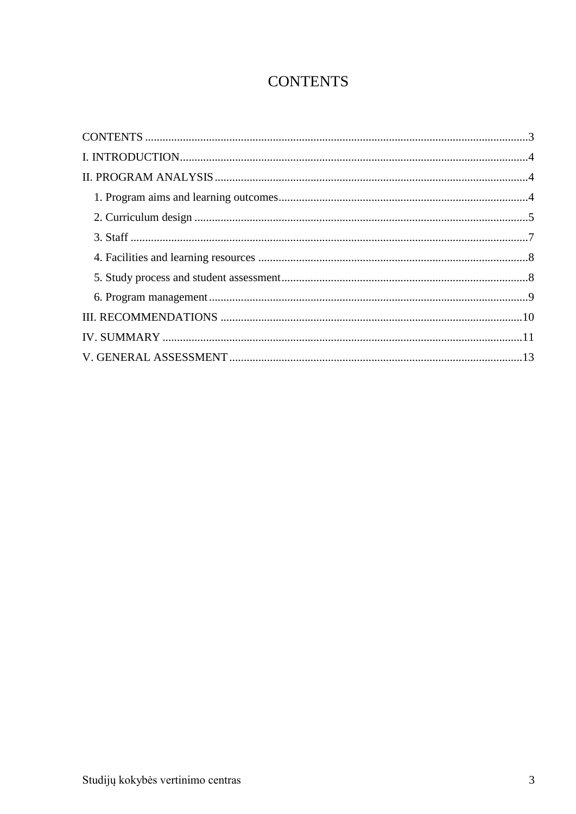# **CONTENTS**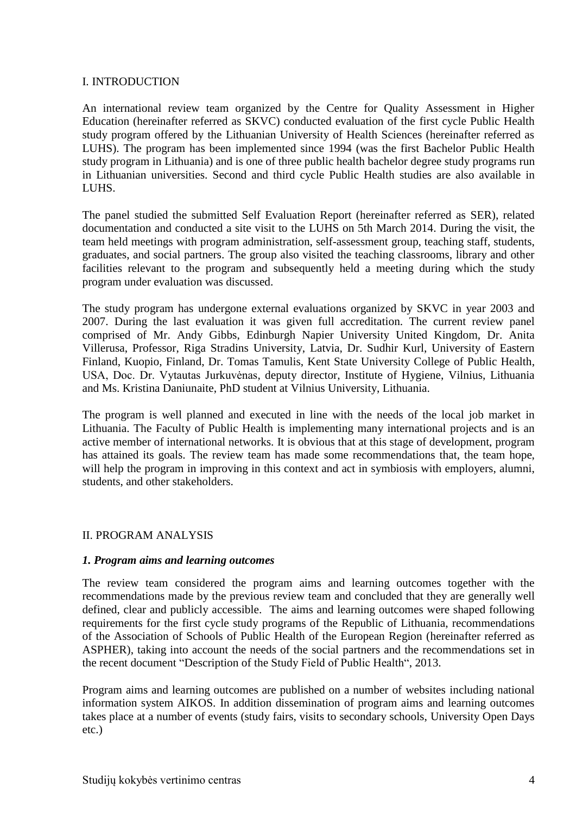# I. INTRODUCTION

An international review team organized by the Centre for Quality Assessment in Higher Education (hereinafter referred as SKVC) conducted evaluation of the first cycle Public Health study program offered by the Lithuanian University of Health Sciences (hereinafter referred as LUHS). The program has been implemented since 1994 (was the first Bachelor Public Health study program in Lithuania) and is one of three public health bachelor degree study programs run in Lithuanian universities. Second and third cycle Public Health studies are also available in LUHS.

The panel studied the submitted Self Evaluation Report (hereinafter referred as SER), related documentation and conducted a site visit to the LUHS on 5th March 2014. During the visit, the team held meetings with program administration, self-assessment group, teaching staff, students, graduates, and social partners. The group also visited the teaching classrooms, library and other facilities relevant to the program and subsequently held a meeting during which the study program under evaluation was discussed.

The study program has undergone external evaluations organized by SKVC in year 2003 and 2007. During the last evaluation it was given full accreditation. The current review panel comprised of Mr. Andy Gibbs, Edinburgh Napier University United Kingdom, Dr. Anita Villerusa, Professor, Riga Stradins University, Latvia, Dr. Sudhir Kurl, University of Eastern Finland, Kuopio, Finland, Dr. Tomas Tamulis, Kent State University College of Public Health, USA, Doc. Dr. Vytautas Jurkuvėnas, deputy director, Institute of Hygiene, Vilnius, Lithuania and Ms. Kristina Daniunaite, PhD student at Vilnius University, Lithuania.

The program is well planned and executed in line with the needs of the local job market in Lithuania. The Faculty of Public Health is implementing many international projects and is an active member of international networks. It is obvious that at this stage of development, program has attained its goals. The review team has made some recommendations that, the team hope, will help the program in improving in this context and act in symbiosis with employers, alumni, students, and other stakeholders.

# II. PROGRAM ANALYSIS

# *1. Program aims and learning outcomes*

The review team considered the program aims and learning outcomes together with the recommendations made by the previous review team and concluded that they are generally well defined, clear and publicly accessible. The aims and learning outcomes were shaped following requirements for the first cycle study programs of the Republic of Lithuania, recommendations of the Association of Schools of Public Health of the European Region (hereinafter referred as ASPHER), taking into account the needs of the social partners and the recommendations set in the recent document "Description of the Study Field of Public Health", 2013.

Program aims and learning outcomes are published on a number of websites including national information system AIKOS. In addition dissemination of program aims and learning outcomes takes place at a number of events (study fairs, visits to secondary schools, University Open Days etc.)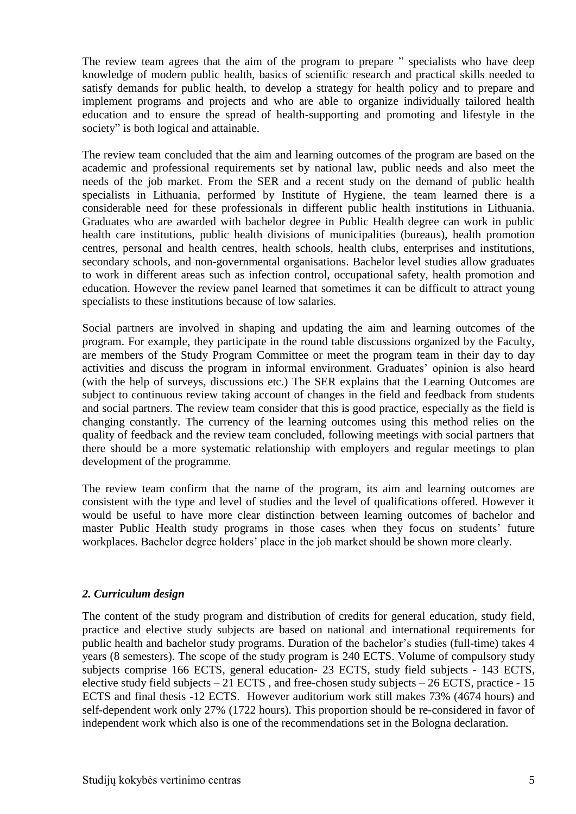The review team agrees that the aim of the program to prepare " specialists who have deep knowledge of modern public health, basics of scientific research and practical skills needed to satisfy demands for public health, to develop a strategy for health policy and to prepare and implement programs and projects and who are able to organize individually tailored health education and to ensure the spread of health-supporting and promoting and lifestyle in the society" is both logical and attainable.

The review team concluded that the aim and learning outcomes of the program are based on the academic and professional requirements set by national law, public needs and also meet the needs of the job market. From the SER and a recent study on the demand of public health specialists in Lithuania, performed by Institute of Hygiene, the team learned there is a considerable need for these professionals in different public health institutions in Lithuania. Graduates who are awarded with bachelor degree in Public Health degree can work in public health care institutions, public health divisions of municipalities (bureaus), health promotion centres, personal and health centres, health schools, health clubs, enterprises and institutions, secondary schools, and non-governmental organisations. Bachelor level studies allow graduates to work in different areas such as infection control, occupational safety, health promotion and education. However the review panel learned that sometimes it can be difficult to attract young specialists to these institutions because of low salaries.

Social partners are involved in shaping and updating the aim and learning outcomes of the program. For example, they participate in the round table discussions organized by the Faculty, are members of the Study Program Committee or meet the program team in their day to day activities and discuss the program in informal environment. Graduates' opinion is also heard (with the help of surveys, discussions etc.) The SER explains that the Learning Outcomes are subject to continuous review taking account of changes in the field and feedback from students and social partners. The review team consider that this is good practice, especially as the field is changing constantly. The currency of the learning outcomes using this method relies on the quality of feedback and the review team concluded, following meetings with social partners that there should be a more systematic relationship with employers and regular meetings to plan development of the programme.

The review team confirm that the name of the program, its aim and learning outcomes are consistent with the type and level of studies and the level of qualifications offered. However it would be useful to have more clear distinction between learning outcomes of bachelor and master Public Health study programs in those cases when they focus on students' future workplaces. Bachelor degree holders' place in the job market should be shown more clearly.

# *2. Curriculum design*

The content of the study program and distribution of credits for general education, study field, practice and elective study subjects are based on national and international requirements for public health and bachelor study programs. Duration of the bachelor's studies (full-time) takes 4 years (8 semesters). The scope of the study program is 240 ECTS. Volume of compulsory study subjects comprise 166 ECTS, general education- 23 ECTS, study field subjects - 143 ECTS, elective study field subjects  $-21$  ECTS, and free-chosen study subjects  $-26$  ECTS, practice  $-15$ ECTS and final thesis -12 ECTS. However auditorium work still makes 73% (4674 hours) and self-dependent work only 27% (1722 hours). This proportion should be re-considered in favor of independent work which also is one of the recommendations set in the Bologna declaration.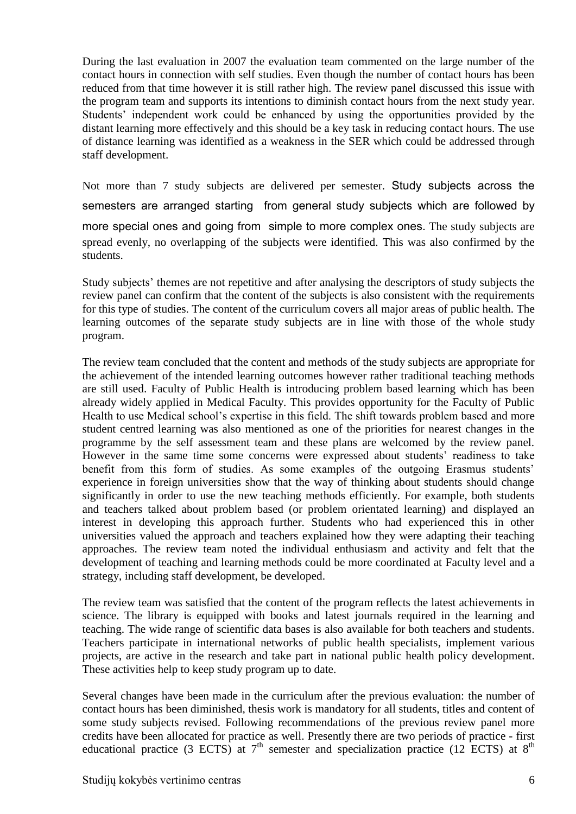During the last evaluation in 2007 the evaluation team commented on the large number of the contact hours in connection with self studies. Even though the number of contact hours has been reduced from that time however it is still rather high. The review panel discussed this issue with the program team and supports its intentions to diminish contact hours from the next study year. Students' independent work could be enhanced by using the opportunities provided by the distant learning more effectively and this should be a key task in reducing contact hours. The use of distance learning was identified as a weakness in the SER which could be addressed through staff development.

Not more than 7 study subjects are delivered per semester. Study subjects across the semesters are arranged starting from general study subjects which are followed by more special ones and going from simple to more complex ones. The study subjects are spread evenly, no overlapping of the subjects were identified. This was also confirmed by the students.

Study subjects' themes are not repetitive and after analysing the descriptors of study subjects the review panel can confirm that the content of the subjects is also consistent with the requirements for this type of studies. The content of the curriculum covers all major areas of public health. The learning outcomes of the separate study subjects are in line with those of the whole study program.

The review team concluded that the content and methods of the study subjects are appropriate for the achievement of the intended learning outcomes however rather traditional teaching methods are still used. Faculty of Public Health is introducing problem based learning which has been already widely applied in Medical Faculty. This provides opportunity for the Faculty of Public Health to use Medical school's expertise in this field. The shift towards problem based and more student centred learning was also mentioned as one of the priorities for nearest changes in the programme by the self assessment team and these plans are welcomed by the review panel. However in the same time some concerns were expressed about students' readiness to take benefit from this form of studies. As some examples of the outgoing Erasmus students' experience in foreign universities show that the way of thinking about students should change significantly in order to use the new teaching methods efficiently. For example, both students and teachers talked about problem based (or problem orientated learning) and displayed an interest in developing this approach further. Students who had experienced this in other universities valued the approach and teachers explained how they were adapting their teaching approaches. The review team noted the individual enthusiasm and activity and felt that the development of teaching and learning methods could be more coordinated at Faculty level and a strategy, including staff development, be developed.

The review team was satisfied that the content of the program reflects the latest achievements in science. The library is equipped with books and latest journals required in the learning and teaching. The wide range of scientific data bases is also available for both teachers and students. Teachers participate in international networks of public health specialists, implement various projects, are active in the research and take part in national public health policy development. These activities help to keep study program up to date.

Several changes have been made in the curriculum after the previous evaluation: the number of contact hours has been diminished, thesis work is mandatory for all students, titles and content of some study subjects revised. Following recommendations of the previous review panel more credits have been allocated for practice as well. Presently there are two periods of practice - first educational practice (3 ECTS) at  $7<sup>th</sup>$  semester and specialization practice (12 ECTS) at  $8<sup>th</sup>$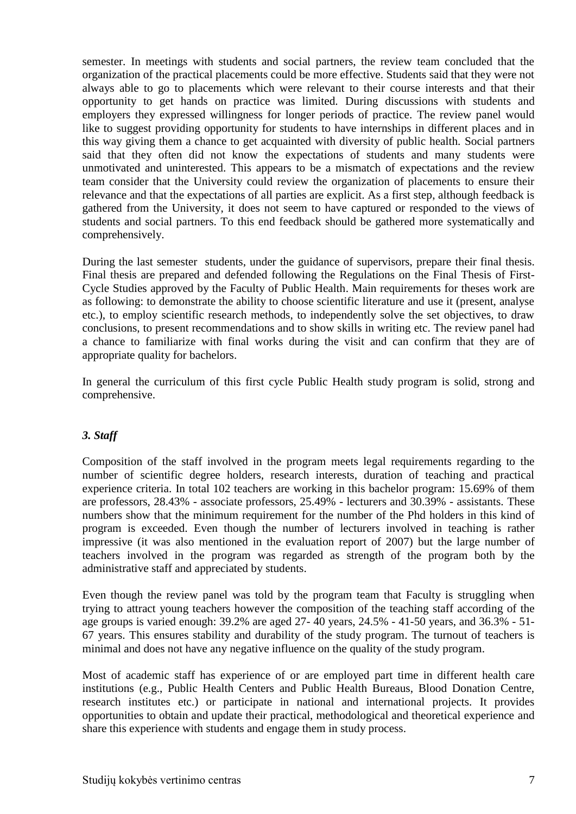semester. In meetings with students and social partners, the review team concluded that the organization of the practical placements could be more effective. Students said that they were not always able to go to placements which were relevant to their course interests and that their opportunity to get hands on practice was limited. During discussions with students and employers they expressed willingness for longer periods of practice. The review panel would like to suggest providing opportunity for students to have internships in different places and in this way giving them a chance to get acquainted with diversity of public health. Social partners said that they often did not know the expectations of students and many students were unmotivated and uninterested. This appears to be a mismatch of expectations and the review team consider that the University could review the organization of placements to ensure their relevance and that the expectations of all parties are explicit. As a first step, although feedback is gathered from the University, it does not seem to have captured or responded to the views of students and social partners. To this end feedback should be gathered more systematically and comprehensively.

During the last semester students, under the guidance of supervisors, prepare their final thesis. Final thesis are prepared and defended following the Regulations on the Final Thesis of First-Cycle Studies approved by the Faculty of Public Health. Main requirements for theses work are as following: to demonstrate the ability to choose scientific literature and use it (present, analyse etc.), to employ scientific research methods, to independently solve the set objectives, to draw conclusions, to present recommendations and to show skills in writing etc. The review panel had a chance to familiarize with final works during the visit and can confirm that they are of appropriate quality for bachelors.

In general the curriculum of this first cycle Public Health study program is solid, strong and comprehensive.

# *3. Staff*

Composition of the staff involved in the program meets legal requirements regarding to the number of scientific degree holders, research interests, duration of teaching and practical experience criteria. In total 102 teachers are working in this bachelor program: 15.69% of them are professors, 28.43% - associate professors, 25.49% - lecturers and 30.39% - assistants. These numbers show that the minimum requirement for the number of the Phd holders in this kind of program is exceeded. Even though the number of lecturers involved in teaching is rather impressive (it was also mentioned in the evaluation report of 2007) but the large number of teachers involved in the program was regarded as strength of the program both by the administrative staff and appreciated by students.

Even though the review panel was told by the program team that Faculty is struggling when trying to attract young teachers however the composition of the teaching staff according of the age groups is varied enough: 39.2% are aged 27- 40 years, 24.5% - 41-50 years, and 36.3% - 51- 67 years. This ensures stability and durability of the study program. The turnout of teachers is minimal and does not have any negative influence on the quality of the study program.

Most of academic staff has experience of or are employed part time in different health care institutions (e.g., Public Health Centers and Public Health Bureaus, Blood Donation Centre, research institutes etc.) or participate in national and international projects. It provides opportunities to obtain and update their practical, methodological and theoretical experience and share this experience with students and engage them in study process.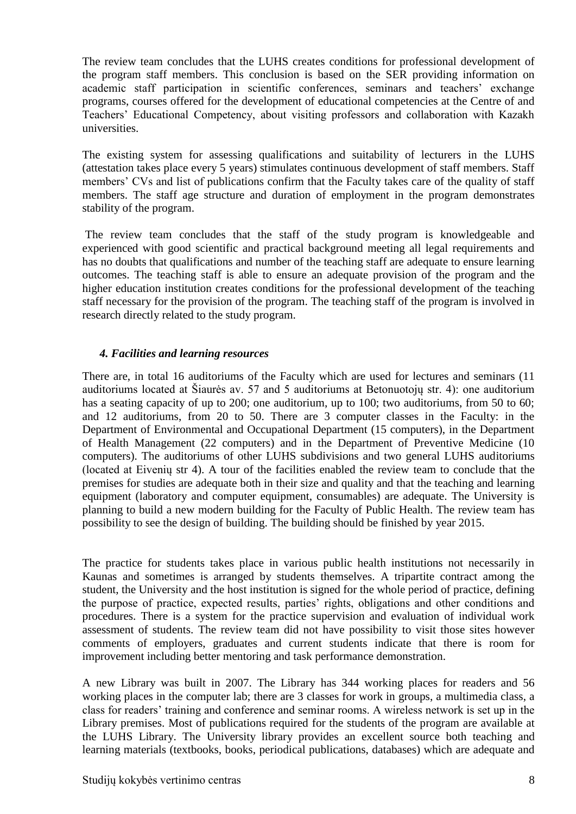The review team concludes that the LUHS creates conditions for professional development of the program staff members. This conclusion is based on the SER providing information on academic staff participation in scientific conferences, seminars and teachers' exchange programs, courses offered for the development of educational competencies at the Centre of and Teachers' Educational Competency, about visiting professors and collaboration with Kazakh universities.

The existing system for assessing qualifications and suitability of lecturers in the LUHS (attestation takes place every 5 years) stimulates continuous development of staff members. Staff members' CVs and list of publications confirm that the Faculty takes care of the quality of staff members. The staff age structure and duration of employment in the program demonstrates stability of the program.

The review team concludes that the staff of the study program is knowledgeable and experienced with good scientific and practical background meeting all legal requirements and has no doubts that qualifications and number of the teaching staff are adequate to ensure learning outcomes. The teaching staff is able to ensure an adequate provision of the program and the higher education institution creates conditions for the professional development of the teaching staff necessary for the provision of the program. The teaching staff of the program is involved in research directly related to the study program.

# *4. Facilities and learning resources*

There are, in total 16 auditoriums of the Faculty which are used for lectures and seminars (11 auditoriums located at Šiaurės av. 57 and 5 auditoriums at Betonuotojų str. 4): one auditorium has a seating capacity of up to 200; one auditorium, up to 100; two auditoriums, from 50 to 60; and 12 auditoriums, from 20 to 50. There are 3 computer classes in the Faculty: in the Department of Environmental and Occupational Department (15 computers), in the Department of Health Management (22 computers) and in the Department of Preventive Medicine (10 computers). The auditoriums of other LUHS subdivisions and two general LUHS auditoriums (located at Eivenių str 4). A tour of the facilities enabled the review team to conclude that the premises for studies are adequate both in their size and quality and that the teaching and learning equipment (laboratory and computer equipment, consumables) are adequate. The University is planning to build a new modern building for the Faculty of Public Health. The review team has possibility to see the design of building. The building should be finished by year 2015.

The practice for students takes place in various public health institutions not necessarily in Kaunas and sometimes is arranged by students themselves. A tripartite contract among the student, the University and the host institution is signed for the whole period of practice, defining the purpose of practice, expected results, parties' rights, obligations and other conditions and procedures. There is a system for the practice supervision and evaluation of individual work assessment of students. The review team did not have possibility to visit those sites however comments of employers, graduates and current students indicate that there is room for improvement including better mentoring and task performance demonstration.

A new Library was built in 2007. The Library has 344 working places for readers and 56 working places in the computer lab; there are 3 classes for work in groups, a multimedia class, a class for readers' training and conference and seminar rooms. A wireless network is set up in the Library premises. Most of publications required for the students of the program are available at the LUHS Library. The University library provides an excellent source both teaching and learning materials (textbooks, books, periodical publications, databases) which are adequate and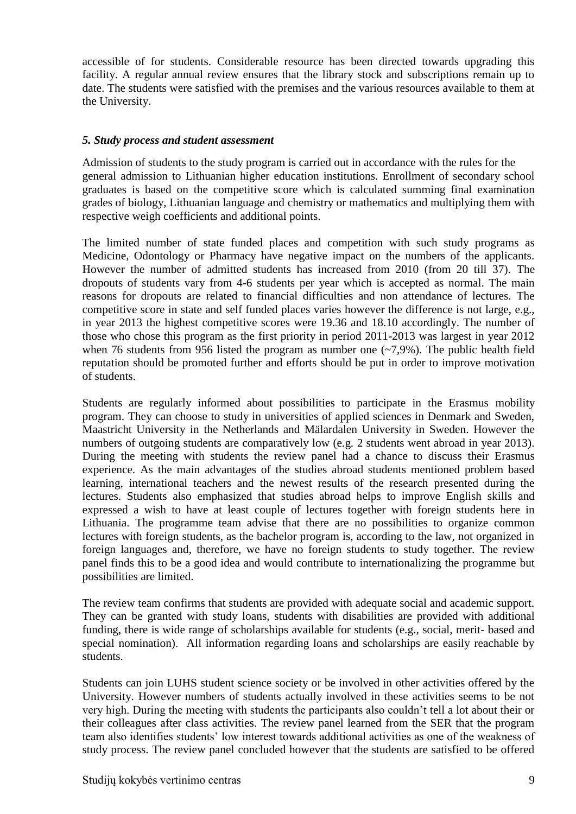accessible of for students. Considerable resource has been directed towards upgrading this facility. A regular annual review ensures that the library stock and subscriptions remain up to date. The students were satisfied with the premises and the various resources available to them at the University.

# *5. Study process and student assessment*

Admission of students to the study program is carried out in accordance with the rules for the general admission to Lithuanian higher education institutions. Enrollment of secondary school graduates is based on the competitive score which is calculated summing final examination grades of biology, Lithuanian language and chemistry or mathematics and multiplying them with respective weigh coefficients and additional points.

The limited number of state funded places and competition with such study programs as Medicine, Odontology or Pharmacy have negative impact on the numbers of the applicants. However the number of admitted students has increased from 2010 (from 20 till 37). The dropouts of students vary from 4-6 students per year which is accepted as normal. The main reasons for dropouts are related to financial difficulties and non attendance of lectures. The competitive score in state and self funded places varies however the difference is not large, e.g., in year 2013 the highest competitive scores were 19.36 and 18.10 accordingly. The number of those who chose this program as the first priority in period 2011-2013 was largest in year 2012 when 76 students from 956 listed the program as number one  $(-7,9\%)$ . The public health field reputation should be promoted further and efforts should be put in order to improve motivation of students.

Students are regularly informed about possibilities to participate in the Erasmus mobility program. They can choose to study in universities of applied sciences in Denmark and Sweden, Maastricht University in the Netherlands and Mälardalen University in Sweden. However the numbers of outgoing students are comparatively low (e.g. 2 students went abroad in year 2013). During the meeting with students the review panel had a chance to discuss their Erasmus experience. As the main advantages of the studies abroad students mentioned problem based learning, international teachers and the newest results of the research presented during the lectures. Students also emphasized that studies abroad helps to improve English skills and expressed a wish to have at least couple of lectures together with foreign students here in Lithuania. The programme team advise that there are no possibilities to organize common lectures with foreign students, as the bachelor program is, according to the law, not organized in foreign languages and, therefore, we have no foreign students to study together. The review panel finds this to be a good idea and would contribute to internationalizing the programme but possibilities are limited.

The review team confirms that students are provided with adequate social and academic support. They can be granted with study loans, students with disabilities are provided with additional funding, there is wide range of scholarships available for students (e.g., social, merit- based and special nomination). All information regarding loans and scholarships are easily reachable by students.

Students can join LUHS student science society or be involved in other activities offered by the University. However numbers of students actually involved in these activities seems to be not very high. During the meeting with students the participants also couldn't tell a lot about their or their colleagues after class activities. The review panel learned from the SER that the program team also identifies students' low interest towards additional activities as one of the weakness of study process. The review panel concluded however that the students are satisfied to be offered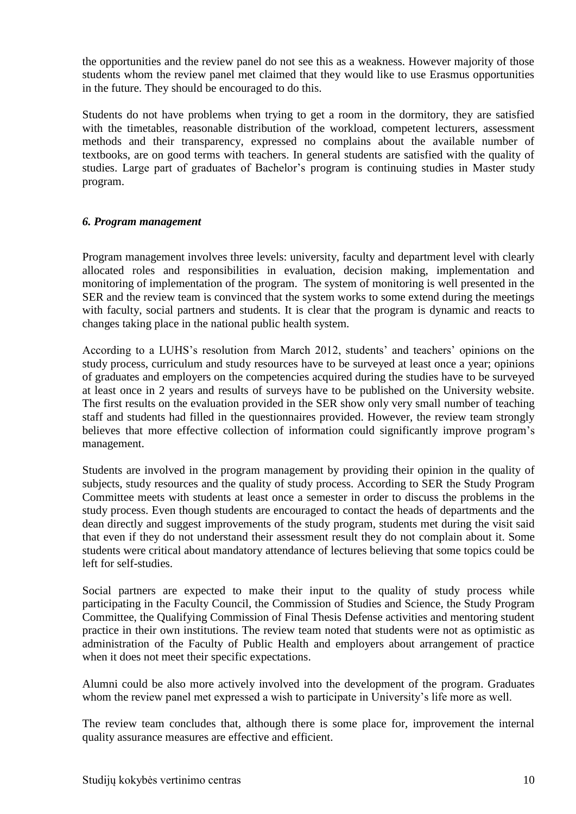the opportunities and the review panel do not see this as a weakness. However majority of those students whom the review panel met claimed that they would like to use Erasmus opportunities in the future. They should be encouraged to do this.

Students do not have problems when trying to get a room in the dormitory, they are satisfied with the timetables, reasonable distribution of the workload, competent lecturers, assessment methods and their transparency, expressed no complains about the available number of textbooks, are on good terms with teachers. In general students are satisfied with the quality of studies. Large part of graduates of Bachelor's program is continuing studies in Master study program.

# *6. Program management*

Program management involves three levels: university, faculty and department level with clearly allocated roles and responsibilities in evaluation, decision making, implementation and monitoring of implementation of the program. The system of monitoring is well presented in the SER and the review team is convinced that the system works to some extend during the meetings with faculty, social partners and students. It is clear that the program is dynamic and reacts to changes taking place in the national public health system.

According to a LUHS's resolution from March 2012, students' and teachers' opinions on the study process, curriculum and study resources have to be surveyed at least once a year; opinions of graduates and employers on the competencies acquired during the studies have to be surveyed at least once in 2 years and results of surveys have to be published on the University website. The first results on the evaluation provided in the SER show only very small number of teaching staff and students had filled in the questionnaires provided. However, the review team strongly believes that more effective collection of information could significantly improve program's management.

Students are involved in the program management by providing their opinion in the quality of subjects, study resources and the quality of study process. According to SER the Study Program Committee meets with students at least once a semester in order to discuss the problems in the study process. Even though students are encouraged to contact the heads of departments and the dean directly and suggest improvements of the study program, students met during the visit said that even if they do not understand their assessment result they do not complain about it. Some students were critical about mandatory attendance of lectures believing that some topics could be left for self-studies.

Social partners are expected to make their input to the quality of study process while participating in the Faculty Council, the Commission of Studies and Science, the Study Program Committee, the Qualifying Commission of Final Thesis Defense activities and mentoring student practice in their own institutions. The review team noted that students were not as optimistic as administration of the Faculty of Public Health and employers about arrangement of practice when it does not meet their specific expectations.

Alumni could be also more actively involved into the development of the program. Graduates whom the review panel met expressed a wish to participate in University's life more as well.

The review team concludes that, although there is some place for, improvement the internal quality assurance measures are effective and efficient.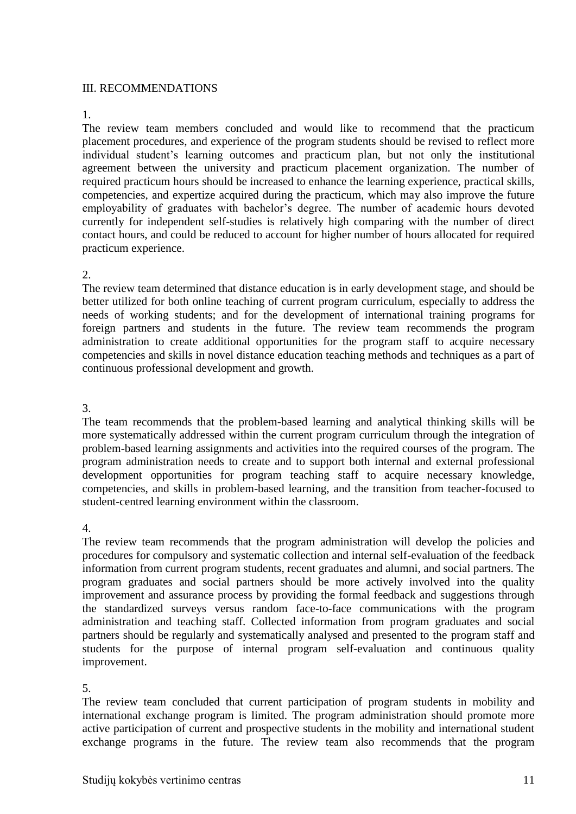# III. RECOMMENDATIONS

#### 1.

The review team members concluded and would like to recommend that the practicum placement procedures, and experience of the program students should be revised to reflect more individual student's learning outcomes and practicum plan, but not only the institutional agreement between the university and practicum placement organization. The number of required practicum hours should be increased to enhance the learning experience, practical skills, competencies, and expertize acquired during the practicum, which may also improve the future employability of graduates with bachelor's degree. The number of academic hours devoted currently for independent self-studies is relatively high comparing with the number of direct contact hours, and could be reduced to account for higher number of hours allocated for required practicum experience.

#### 2.

The review team determined that distance education is in early development stage, and should be better utilized for both online teaching of current program curriculum, especially to address the needs of working students; and for the development of international training programs for foreign partners and students in the future. The review team recommends the program administration to create additional opportunities for the program staff to acquire necessary competencies and skills in novel distance education teaching methods and techniques as a part of continuous professional development and growth.

# 3.

The team recommends that the problem-based learning and analytical thinking skills will be more systematically addressed within the current program curriculum through the integration of problem-based learning assignments and activities into the required courses of the program. The program administration needs to create and to support both internal and external professional development opportunities for program teaching staff to acquire necessary knowledge, competencies, and skills in problem-based learning, and the transition from teacher-focused to student-centred learning environment within the classroom.

# 4.

The review team recommends that the program administration will develop the policies and procedures for compulsory and systematic collection and internal self-evaluation of the feedback information from current program students, recent graduates and alumni, and social partners. The program graduates and social partners should be more actively involved into the quality improvement and assurance process by providing the formal feedback and suggestions through the standardized surveys versus random face-to-face communications with the program administration and teaching staff. Collected information from program graduates and social partners should be regularly and systematically analysed and presented to the program staff and students for the purpose of internal program self-evaluation and continuous quality improvement.

# 5.

The review team concluded that current participation of program students in mobility and international exchange program is limited. The program administration should promote more active participation of current and prospective students in the mobility and international student exchange programs in the future. The review team also recommends that the program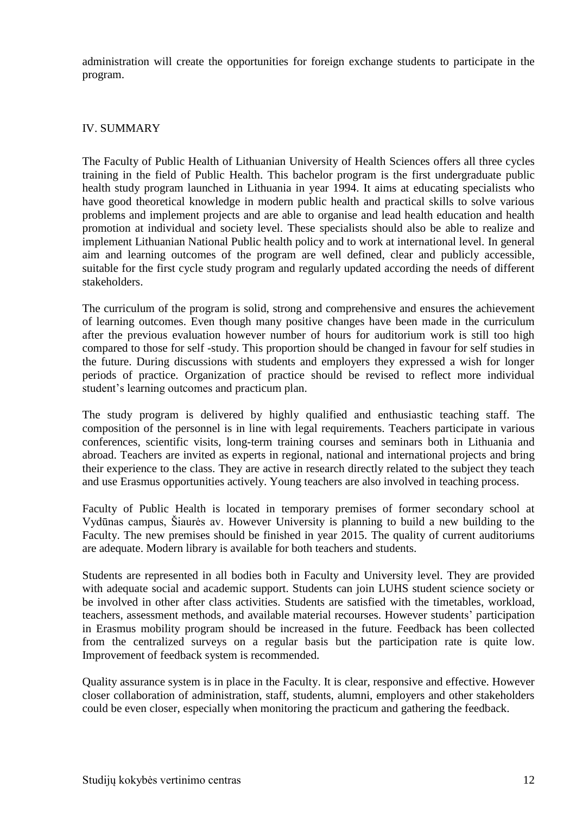administration will create the opportunities for foreign exchange students to participate in the program.

# IV. SUMMARY

The Faculty of Public Health of Lithuanian University of Health Sciences offers all three cycles training in the field of Public Health. This bachelor program is the first undergraduate public health study program launched in Lithuania in year 1994. It aims at educating specialists who have good theoretical knowledge in modern public health and practical skills to solve various problems and implement projects and are able to organise and lead health education and health promotion at individual and society level. These specialists should also be able to realize and implement Lithuanian National Public health policy and to work at international level. In general aim and learning outcomes of the program are well defined, clear and publicly accessible, suitable for the first cycle study program and regularly updated according the needs of different stakeholders.

The curriculum of the program is solid, strong and comprehensive and ensures the achievement of learning outcomes. Even though many positive changes have been made in the curriculum after the previous evaluation however number of hours for auditorium work is still too high compared to those for self -study. This proportion should be changed in favour for self studies in the future. During discussions with students and employers they expressed a wish for longer periods of practice. Organization of practice should be revised to reflect more individual student's learning outcomes and practicum plan.

The study program is delivered by highly qualified and enthusiastic teaching staff. The composition of the personnel is in line with legal requirements. Teachers participate in various conferences, scientific visits, long-term training courses and seminars both in Lithuania and abroad. Teachers are invited as experts in regional, national and international projects and bring their experience to the class. They are active in research directly related to the subject they teach and use Erasmus opportunities actively. Young teachers are also involved in teaching process.

Faculty of Public Health is located in temporary premises of former secondary school at Vydūnas campus, Šiaurės av. However University is planning to build a new building to the Faculty. The new premises should be finished in year 2015. The quality of current auditoriums are adequate. Modern library is available for both teachers and students.

Students are represented in all bodies both in Faculty and University level. They are provided with adequate social and academic support. Students can join LUHS student science society or be involved in other after class activities. Students are satisfied with the timetables, workload, teachers, assessment methods, and available material recourses. However students' participation in Erasmus mobility program should be increased in the future. Feedback has been collected from the centralized surveys on a regular basis but the participation rate is quite low. Improvement of feedback system is recommended.

Quality assurance system is in place in the Faculty. It is clear, responsive and effective. However closer collaboration of administration, staff, students, alumni, employers and other stakeholders could be even closer, especially when monitoring the practicum and gathering the feedback.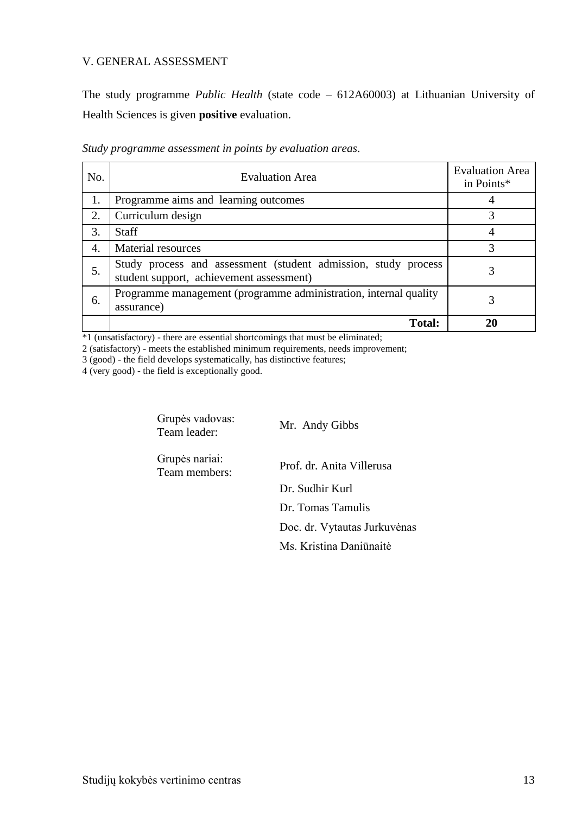# V. GENERAL ASSESSMENT

The study programme *Public Health* (state code – 612A60003) at Lithuanian University of Health Sciences is given **positive** evaluation.

| No. | <b>Evaluation Area</b>                                                                                     | <b>Evaluation Area</b><br>in Points* |
|-----|------------------------------------------------------------------------------------------------------------|--------------------------------------|
| 1.  | Programme aims and learning outcomes                                                                       |                                      |
| 2.  | Curriculum design                                                                                          |                                      |
| 3.  | <b>Staff</b>                                                                                               |                                      |
| 4.  | <b>Material resources</b>                                                                                  | 3                                    |
| 5.  | Study process and assessment (student admission, study process<br>student support, achievement assessment) |                                      |
| 6.  | Programme management (programme administration, internal quality<br>assurance)                             | 3                                    |
|     | <b>Total:</b>                                                                                              |                                      |

*Study programme assessment in points by evaluation areas*.

\*1 (unsatisfactory) - there are essential shortcomings that must be eliminated;

2 (satisfactory) - meets the established minimum requirements, needs improvement;

3 (good) - the field develops systematically, has distinctive features;

4 (very good) - the field is exceptionally good.

Grupės vadovas:<br>Team leader:

Mr. Andy Gibbs

Grupės nariai:

Team members: Prof. dr. Anita Villerusa

Dr. Sudhir Kurl Dr. Tomas Tamulis Doc. dr. Vytautas Jurkuvėnas

Ms. Kristina Daniūnaitė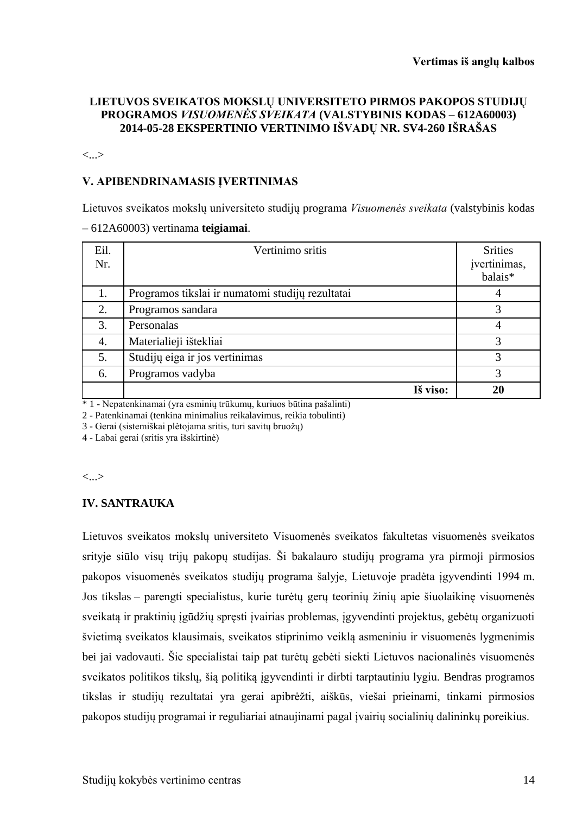# **LIETUVOS SVEIKATOS MOKSLŲ UNIVERSITETO PIRMOS PAKOPOS STUDIJŲ PROGRAMOS** *VISUOMENĖS SVEIKATA* **(VALSTYBINIS KODAS – 612A60003) 2014-05-28 EKSPERTINIO VERTINIMO IŠVADŲ NR. SV4-260 IŠRAŠAS**

<...>

# **V. APIBENDRINAMASIS ĮVERTINIMAS**

Lietuvos sveikatos mokslų universiteto studijų programa *Visuomenės sveikata* (valstybinis kodas – 612A60003) vertinama **teigiamai**.

| Eil.<br>Nr. | Vertinimo sritis                                 | <b>Srities</b><br>įvertinimas,<br>balais <sup>*</sup> |
|-------------|--------------------------------------------------|-------------------------------------------------------|
|             | Programos tikslai ir numatomi studijų rezultatai | 4                                                     |
| 2.          | Programos sandara                                | 3                                                     |
| 3.          | Personalas                                       | 4                                                     |
| 4.          | Materialieji ištekliai                           | 3                                                     |
| 5.          | Studijų eiga ir jos vertinimas                   | 3                                                     |
| 6.          | Programos vadyba                                 | 3                                                     |
|             | Iš viso:                                         | 20                                                    |

\* 1 - Nepatenkinamai (yra esminių trūkumų, kuriuos būtina pašalinti)

2 - Patenkinamai (tenkina minimalius reikalavimus, reikia tobulinti)

3 - Gerai (sistemiškai plėtojama sritis, turi savitų bruožų)

4 - Labai gerai (sritis yra išskirtinė)

<...>

# **IV. SANTRAUKA**

Lietuvos sveikatos mokslų universiteto Visuomenės sveikatos fakultetas visuomenės sveikatos srityje siūlo visų trijų pakopų studijas. Ši bakalauro studijų programa yra pirmoji pirmosios pakopos visuomenės sveikatos studijų programa šalyje, Lietuvoje pradėta įgyvendinti 1994 m. Jos tikslas – parengti specialistus, kurie turėtų gerų teorinių žinių apie šiuolaikinę visuomenės sveikatą ir praktinių įgūdžių spręsti įvairias problemas, įgyvendinti projektus, gebėtų organizuoti švietimą sveikatos klausimais, sveikatos stiprinimo veiklą asmeniniu ir visuomenės lygmenimis bei jai vadovauti. Šie specialistai taip pat turėtų gebėti siekti Lietuvos nacionalinės visuomenės sveikatos politikos tikslų, šią politiką įgyvendinti ir dirbti tarptautiniu lygiu. Bendras programos tikslas ir studijų rezultatai yra gerai apibrėžti, aiškūs, viešai prieinami, tinkami pirmosios pakopos studijų programai ir reguliariai atnaujinami pagal įvairių socialinių dalininkų poreikius.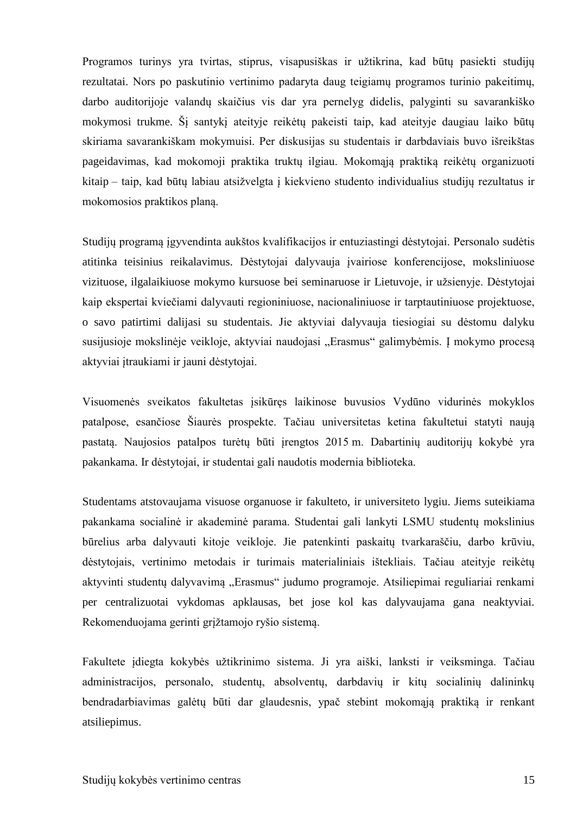Programos turinys yra tvirtas, stiprus, visapusiškas ir užtikrina, kad būtų pasiekti studijų rezultatai. Nors po paskutinio vertinimo padaryta daug teigiamų programos turinio pakeitimų, darbo auditorijoje valandų skaičius vis dar yra pernelyg didelis, palyginti su savarankiško mokymosi trukme. Šį santykį ateityje reikėtų pakeisti taip, kad ateityje daugiau laiko būtų skiriama savarankiškam mokymuisi. Per diskusijas su studentais ir darbdaviais buvo išreikštas pageidavimas, kad mokomoji praktika truktų ilgiau. Mokomąją praktiką reikėtų organizuoti kitaip – taip, kad būtų labiau atsižvelgta į kiekvieno studento individualius studijų rezultatus ir mokomosios praktikos planą.

Studijų programą įgyvendinta aukštos kvalifikacijos ir entuziastingi dėstytojai. Personalo sudėtis atitinka teisinius reikalavimus. Dėstytojai dalyvauja įvairiose konferencijose, moksliniuose vizituose, ilgalaikiuose mokymo kursuose bei seminaruose ir Lietuvoje, ir užsienyje. Dėstytojai kaip ekspertai kviečiami dalyvauti regioniniuose, nacionaliniuose ir tarptautiniuose projektuose, o savo patirtimi dalijasi su studentais. Jie aktyviai dalyvauja tiesiogiai su dėstomu dalyku susijusioje mokslinėje veikloje, aktyviai naudojasi "Erasmus" galimybėmis. Į mokymo procesą aktyviai įtraukiami ir jauni dėstytojai.

Visuomenės sveikatos fakultetas įsikūręs laikinose buvusios Vydūno vidurinės mokyklos patalpose, esančiose Šiaurės prospekte. Tačiau universitetas ketina fakultetui statyti naują pastatą. Naujosios patalpos turėtų būti įrengtos 2015 m. Dabartinių auditorijų kokybė yra pakankama. Ir dėstytojai, ir studentai gali naudotis modernia biblioteka.

Studentams atstovaujama visuose organuose ir fakulteto, ir universiteto lygiu. Jiems suteikiama pakankama socialinė ir akademinė parama. Studentai gali lankyti LSMU studentų mokslinius būrelius arba dalyvauti kitoje veikloje. Jie patenkinti paskaitų tvarkaraščiu, darbo krūviu, dėstytojais, vertinimo metodais ir turimais materialiniais ištekliais. Tačiau ateityje reikėtų aktyvinti studentų dalyvavimą "Erasmus" judumo programoje. Atsiliepimai reguliariai renkami per centralizuotai vykdomas apklausas, bet jose kol kas dalyvaujama gana neaktyviai. Rekomenduojama gerinti grįžtamojo ryšio sistemą.

Fakultete įdiegta kokybės užtikrinimo sistema. Ji yra aiški, lanksti ir veiksminga. Tačiau administracijos, personalo, studentų, absolventų, darbdavių ir kitų socialinių dalininkų bendradarbiavimas galėtų būti dar glaudesnis, ypač stebint mokomąją praktiką ir renkant atsiliepimus.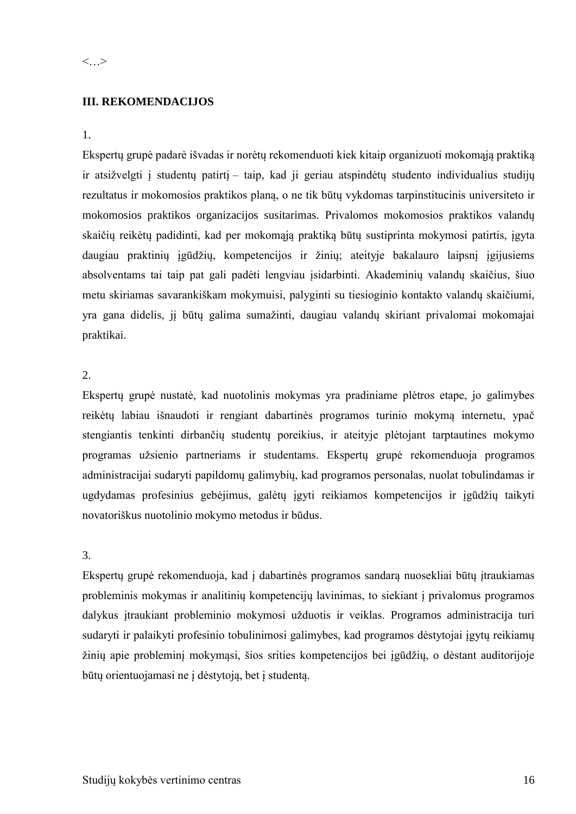# **III. REKOMENDACIJOS**

# 1.

Ekspertų grupė padarė išvadas ir norėtų rekomenduoti kiek kitaip organizuoti mokomąją praktiką ir atsižvelgti į studentų patirtį – taip, kad ji geriau atspindėtų studento individualius studijų rezultatus ir mokomosios praktikos planą, o ne tik būtų vykdomas tarpinstitucinis universiteto ir mokomosios praktikos organizacijos susitarimas. Privalomos mokomosios praktikos valandų skaičių reikėtų padidinti, kad per mokomąją praktiką būtų sustiprinta mokymosi patirtis, įgyta daugiau praktinių įgūdžių, kompetencijos ir žinių; ateityje bakalauro laipsnį įgijusiems absolventams tai taip pat gali padėti lengviau įsidarbinti. Akademinių valandų skaičius, šiuo metu skiriamas savarankiškam mokymuisi, palyginti su tiesioginio kontakto valandų skaičiumi, yra gana didelis, jį būtų galima sumažinti, daugiau valandų skiriant privalomai mokomajai praktikai.

# 2.

Ekspertų grupė nustatė, kad nuotolinis mokymas yra pradiniame plėtros etape, jo galimybes reikėtų labiau išnaudoti ir rengiant dabartinės programos turinio mokymą internetu, ypač stengiantis tenkinti dirbančių studentų poreikius, ir ateityje plėtojant tarptautines mokymo programas užsienio partneriams ir studentams. Ekspertų grupė rekomenduoja programos administracijai sudaryti papildomų galimybių, kad programos personalas, nuolat tobulindamas ir ugdydamas profesinius gebėjimus, galėtų įgyti reikiamos kompetencijos ir įgūdžių taikyti novatoriškus nuotolinio mokymo metodus ir būdus.

# 3.

Ekspertų grupė rekomenduoja, kad į dabartinės programos sandarą nuosekliai būtų įtraukiamas probleminis mokymas ir analitinių kompetencijų lavinimas, to siekiant į privalomus programos dalykus įtraukiant probleminio mokymosi užduotis ir veiklas. Programos administracija turi sudaryti ir palaikyti profesinio tobulinimosi galimybes, kad programos dėstytojai įgytų reikiamų žinių apie probleminį mokymąsi, šios srities kompetencijos bei įgūdžių, o dėstant auditorijoje būtų orientuojamasi ne į dėstytoją, bet į studentą.